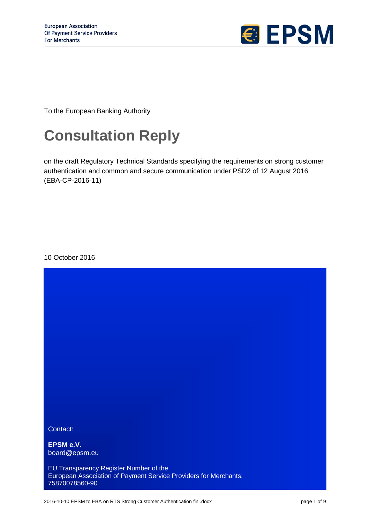

To the European Banking Authority

# **Consultation Reply**

on the draft Regulatory Technical Standards specifying the requirements on strong customer authentication and common and secure communication under PSD2 of 12 August 2016 (EBA-CP-2016-11)

10 October 2016

Contact:

**EPSM e.V.** board@epsm.eu

EU Transparency Register Number of the European Association of Payment Service Providers for Merchants: 75870078560-90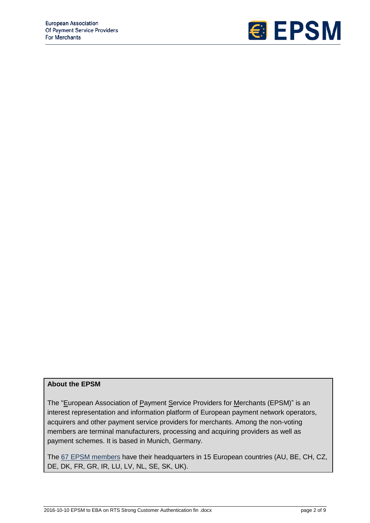

# **About the EPSM**

The "European Association of Payment Service Providers for Merchants (EPSM)" is an interest representation and information platform of European payment network operators, acquirers and other payment service providers for merchants. Among the non-voting members are terminal manufacturers, processing and acquiring providers as well as payment schemes. It is based in Munich, Germany.

The 67 [EPSM members](http://www.epsm.eu/epsm-members-list.cfm) have their headquarters in 15 European countries (AU, BE, CH, CZ, DE, DK, FR, GR, IR, LU, LV, NL, SE, SK, UK).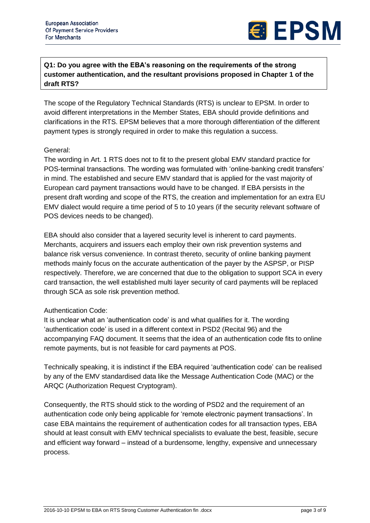

**Q1: Do you agree with the EBA's reasoning on the requirements of the strong customer authentication, and the resultant provisions proposed in Chapter 1 of the draft RTS?**

The scope of the Regulatory Technical Standards (RTS) is unclear to EPSM. In order to avoid different interpretations in the Member States, EBA should provide definitions and clarifications in the RTS. EPSM believes that a more thorough differentiation of the different payment types is strongly required in order to make this regulation a success.

# General:

The wording in Art. 1 RTS does not to fit to the present global EMV standard practice for POS-terminal transactions. The wording was formulated with 'online-banking credit transfers' in mind. The established and secure EMV standard that is applied for the vast majority of European card payment transactions would have to be changed. If EBA persists in the present draft wording and scope of the RTS, the creation and implementation for an extra EU EMV dialect would require a time period of 5 to 10 years (if the security relevant software of POS devices needs to be changed).

EBA should also consider that a layered security level is inherent to card payments. Merchants, acquirers and issuers each employ their own risk prevention systems and balance risk versus convenience. In contrast thereto, security of online banking payment methods mainly focus on the accurate authentication of the payer by the ASPSP, or PISP respectively. Therefore, we are concerned that due to the obligation to support SCA in every card transaction, the well established multi layer security of card payments will be replaced through SCA as sole risk prevention method.

# Authentication Code:

It is unclear what an 'authentication code' is and what qualifies for it. The wording 'authentication code' is used in a different context in PSD2 (Recital 96) and the accompanying FAQ document. It seems that the idea of an authentication code fits to online remote payments, but is not feasible for card payments at POS.

Technically speaking, it is indistinct if the EBA required 'authentication code' can be realised by any of the EMV standardised data like the Message Authentication Code (MAC) or the ARQC (Authorization Request Cryptogram).

Consequently, the RTS should stick to the wording of PSD2 and the requirement of an authentication code only being applicable for 'remote electronic payment transactions'. In case EBA maintains the requirement of authentication codes for all transaction types, EBA should at least consult with EMV technical specialists to evaluate the best, feasible, secure and efficient way forward – instead of a burdensome, lengthy, expensive and unnecessary process.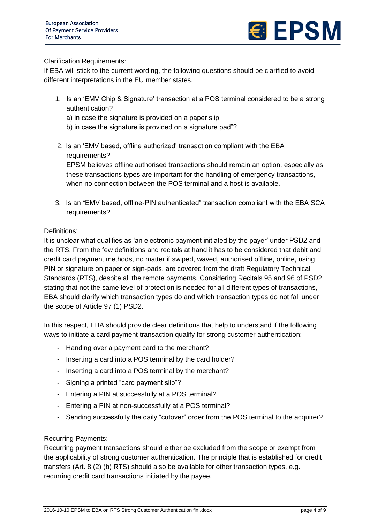

Clarification Requirements:

If EBA will stick to the current wording, the following questions should be clarified to avoid different interpretations in the EU member states.

- 1. Is an 'EMV Chip & Signature' transaction at a POS terminal considered to be a strong authentication?
	- a) in case the signature is provided on a paper slip
	- b) in case the signature is provided on a signature pad"?
- 2. Is an 'EMV based, offline authorized' transaction compliant with the EBA requirements?

EPSM believes offline authorised transactions should remain an option, especially as these transactions types are important for the handling of emergency transactions, when no connection between the POS terminal and a host is available.

3. Is an "EMV based, offline-PIN authenticated" transaction compliant with the EBA SCA requirements?

# Definitions:

It is unclear what qualifies as 'an electronic payment initiated by the payer' under PSD2 and the RTS. From the few definitions and recitals at hand it has to be considered that debit and credit card payment methods, no matter if swiped, waved, authorised offline, online, using PIN or signature on paper or sign-pads, are covered from the draft Regulatory Technical Standards (RTS), despite all the remote payments. Considering Recitals 95 and 96 of PSD2, stating that not the same level of protection is needed for all different types of transactions, EBA should clarify which transaction types do and which transaction types do not fall under the scope of Article 97 (1) PSD2.

In this respect, EBA should provide clear definitions that help to understand if the following ways to initiate a card payment transaction qualify for strong customer authentication:

- Handing over a payment card to the merchant?
- Inserting a card into a POS terminal by the card holder?
- Inserting a card into a POS terminal by the merchant?
- Signing a printed "card payment slip"?
- Entering a PIN at successfully at a POS terminal?
- Entering a PIN at non-successfully at a POS terminal?
- Sending successfully the daily "cutover" order from the POS terminal to the acquirer?

### Recurring Payments:

Recurring payment transactions should either be excluded from the scope or exempt from the applicability of strong customer authentication. The principle that is established for credit transfers (Art. 8 (2) (b) RTS) should also be available for other transaction types, e.g. recurring credit card transactions initiated by the payee.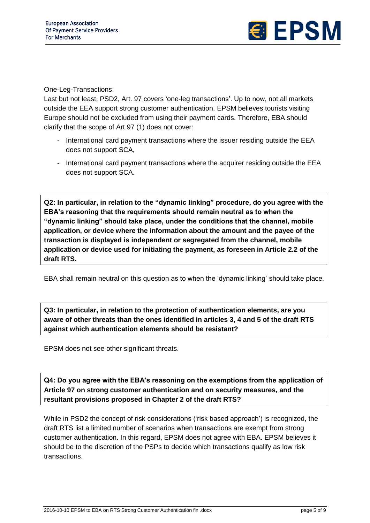

One-Leg-Transactions:

Last but not least, PSD2, Art. 97 covers 'one-leg transactions'. Up to now, not all markets outside the EEA support strong customer authentication. EPSM believes tourists visiting Europe should not be excluded from using their payment cards. Therefore, EBA should clarify that the scope of Art 97 (1) does not cover:

- International card payment transactions where the issuer residing outside the EEA does not support SCA,
- International card payment transactions where the acquirer residing outside the EEA does not support SCA.

**Q2: In particular, in relation to the "dynamic linking" procedure, do you agree with the EBA's reasoning that the requirements should remain neutral as to when the "dynamic linking" should take place, under the conditions that the channel, mobile application, or device where the information about the amount and the payee of the transaction is displayed is independent or segregated from the channel, mobile application or device used for initiating the payment, as foreseen in Article 2.2 of the draft RTS.**

EBA shall remain neutral on this question as to when the 'dynamic linking' should take place.

**Q3: In particular, in relation to the protection of authentication elements, are you aware of other threats than the ones identified in articles 3, 4 and 5 of the draft RTS against which authentication elements should be resistant?**

EPSM does not see other significant threats.

**Q4: Do you agree with the EBA's reasoning on the exemptions from the application of Article 97 on strong customer authentication and on security measures, and the resultant provisions proposed in Chapter 2 of the draft RTS?**

While in PSD2 the concept of risk considerations ('risk based approach') is recognized, the draft RTS list a limited number of scenarios when transactions are exempt from strong customer authentication. In this regard, EPSM does not agree with EBA. EPSM believes it should be to the discretion of the PSPs to decide which transactions qualify as low risk transactions.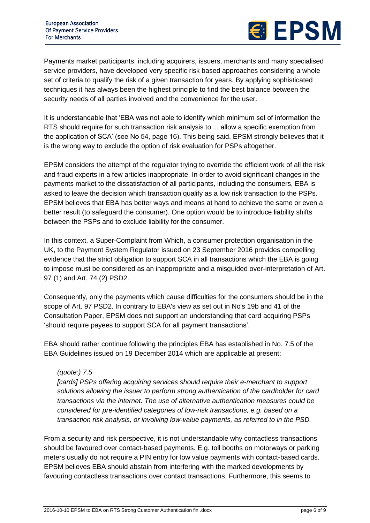

Payments market participants, including acquirers, issuers, merchants and many specialised service providers, have developed very specific risk based approaches considering a whole set of criteria to qualify the risk of a given transaction for years. By applying sophisticated techniques it has always been the highest principle to find the best balance between the security needs of all parties involved and the convenience for the user.

It is understandable that 'EBA was not able to identify which minimum set of information the RTS should require for such transaction risk analysis to ... allow a specific exemption from the application of SCA' (see No 54, page 16). This being said, EPSM strongly believes that it is the wrong way to exclude the option of risk evaluation for PSPs altogether.

EPSM considers the attempt of the regulator trying to override the efficient work of all the risk and fraud experts in a few articles inappropriate. In order to avoid significant changes in the payments market to the dissatisfaction of all participants, including the consumers, EBA is asked to leave the decision which transaction qualify as a low risk transaction to the PSPs. EPSM believes that EBA has better ways and means at hand to achieve the same or even a better result (to safeguard the consumer). One option would be to introduce liability shifts between the PSPs and to exclude liability for the consumer.

In this context, a Super-Complaint from Which, a consumer protection organisation in the UK, to the Payment System Regulator issued on 23 September 2016 provides compelling evidence that the strict obligation to support SCA in all transactions which the EBA is going to impose must be considered as an inappropriate and a misguided over-interpretation of Art. 97 (1) and Art. 74 (2) PSD2.

Consequently, only the payments which cause difficulties for the consumers should be in the scope of Art. 97 PSD2. In contrary to EBA's view as set out in No's 19b and 41 of the Consultation Paper, EPSM does not support an understanding that card acquiring PSPs 'should require payees to support SCA for all payment transactions'.

EBA should rather continue following the principles EBA has established in No. 7.5 of the EBA Guidelines issued on 19 December 2014 which are applicable at present:

### *(quote:) 7.5*

*[cards] PSPs offering acquiring services should require their e-merchant to support solutions allowing the issuer to perform strong authentication of the cardholder for card transactions via the internet. The use of alternative authentication measures could be considered for pre-identified categories of low-risk transactions, e.g. based on a transaction risk analysis, or involving low-value payments, as referred to in the PSD.*

From a security and risk perspective, it is not understandable why contactless transactions should be favoured over contact-based payments. E.g. toll booths on motorways or parking meters usually do not require a PIN entry for low value payments with contact-based cards. EPSM believes EBA should abstain from interfering with the marked developments by favouring contactless transactions over contact transactions. Furthermore, this seems to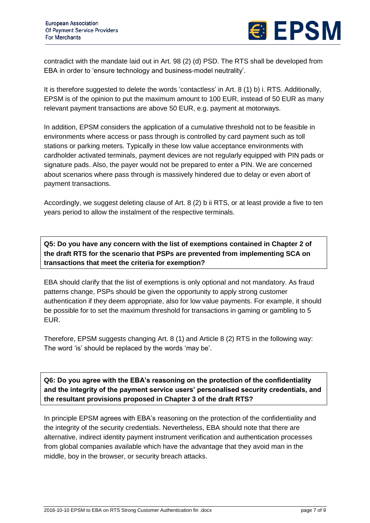

contradict with the mandate laid out in Art. 98 (2) (d) PSD. The RTS shall be developed from EBA in order to 'ensure technology and business-model neutrality'.

It is therefore suggested to delete the words 'contactless' in Art. 8 (1) b) i. RTS. Additionally, EPSM is of the opinion to put the maximum amount to 100 EUR, instead of 50 EUR as many relevant payment transactions are above 50 EUR, e.g. payment at motorways.

In addition, EPSM considers the application of a cumulative threshold not to be feasible in environments where access or pass through is controlled by card payment such as toll stations or parking meters. Typically in these low value acceptance environments with cardholder activated terminals, payment devices are not regularly equipped with PIN pads or signature pads. Also, the payer would not be prepared to enter a PIN. We are concerned about scenarios where pass through is massively hindered due to delay or even abort of payment transactions.

Accordingly, we suggest deleting clause of Art. 8 (2) b ii RTS, or at least provide a five to ten years period to allow the instalment of the respective terminals.

**Q5: Do you have any concern with the list of exemptions contained in Chapter 2 of the draft RTS for the scenario that PSPs are prevented from implementing SCA on transactions that meet the criteria for exemption?**

EBA should clarify that the list of exemptions is only optional and not mandatory. As fraud patterns change, PSPs should be given the opportunity to apply strong customer authentication if they deem appropriate, also for low value payments. For example, it should be possible for to set the maximum threshold for transactions in gaming or gambling to 5 EUR.

Therefore, EPSM suggests changing Art. 8 (1) and Article 8 (2) RTS in the following way: The word 'is' should be replaced by the words 'may be'.

**Q6: Do you agree with the EBA's reasoning on the protection of the confidentiality and the integrity of the payment service users' personalised security credentials, and the resultant provisions proposed in Chapter 3 of the draft RTS?**

In principle EPSM agrees with EBA's reasoning on the protection of the confidentiality and the integrity of the security credentials. Nevertheless, EBA should note that there are alternative, indirect identity payment instrument verification and authentication processes from global companies available which have the advantage that they avoid man in the middle, boy in the browser, or security breach attacks.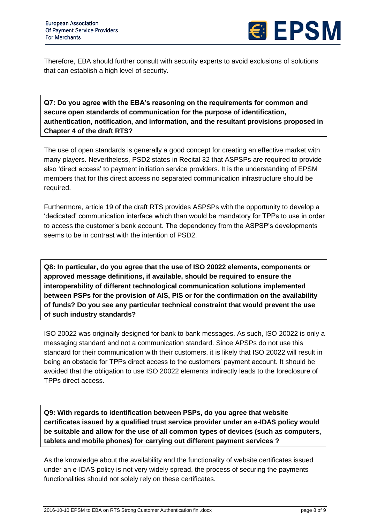

Therefore, EBA should further consult with security experts to avoid exclusions of solutions that can establish a high level of security.

**Q7: Do you agree with the EBA's reasoning on the requirements for common and secure open standards of communication for the purpose of identification, authentication, notification, and information, and the resultant provisions proposed in Chapter 4 of the draft RTS?**

The use of open standards is generally a good concept for creating an effective market with many players. Nevertheless, PSD2 states in Recital 32 that ASPSPs are required to provide also 'direct access' to payment initiation service providers. It is the understanding of EPSM members that for this direct access no separated communication infrastructure should be required.

Furthermore, article 19 of the draft RTS provides ASPSPs with the opportunity to develop a 'dedicated' communication interface which than would be mandatory for TPPs to use in order to access the customer's bank account. The dependency from the ASPSP's developments seems to be in contrast with the intention of PSD2.

**Q8: In particular, do you agree that the use of ISO 20022 elements, components or approved message definitions, if available, should be required to ensure the interoperability of different technological communication solutions implemented between PSPs for the provision of AIS, PIS or for the confirmation on the availability of funds? Do you see any particular technical constraint that would prevent the use of such industry standards?**

ISO 20022 was originally designed for bank to bank messages. As such, ISO 20022 is only a messaging standard and not a communication standard. Since APSPs do not use this standard for their communication with their customers, it is likely that ISO 20022 will result in being an obstacle for TPPs direct access to the customers' payment account. It should be avoided that the obligation to use ISO 20022 elements indirectly leads to the foreclosure of TPPs direct access.

**Q9: With regards to identification between PSPs, do you agree that website certificates issued by a qualified trust service provider under an e-IDAS policy would be suitable and allow for the use of all common types of devices (such as computers, tablets and mobile phones) for carrying out different payment services ?**

As the knowledge about the availability and the functionality of website certificates issued under an e-IDAS policy is not very widely spread, the process of securing the payments functionalities should not solely rely on these certificates.